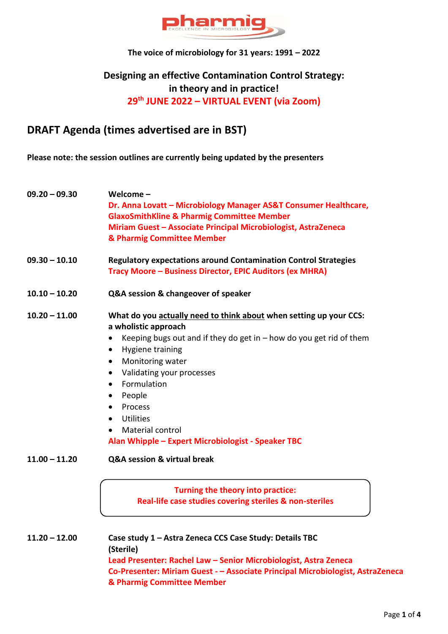

### **The voice of microbiology for 31 years: 1991 – 2022**

## **Designing an effective Contamination Control Strategy: in theory and in practice! 29th JUNE 2022 – VIRTUAL EVENT (via Zoom)**

## **DRAFT Agenda (times advertised are in BST)**

**Please note: the session outlines are currently being updated by the presenters**

| $09.20 - 09.30$                                                                                                                                       | Welcome-<br>Dr. Anna Lovatt - Microbiology Manager AS&T Consumer Healthcare,<br><b>GlaxoSmithKline &amp; Pharmig Committee Member</b><br>Miriam Guest - Associate Principal Microbiologist, AstraZeneca<br>& Pharmig Committee Member                                                                                                                                                                                                                  |  |  |  |  |
|-------------------------------------------------------------------------------------------------------------------------------------------------------|--------------------------------------------------------------------------------------------------------------------------------------------------------------------------------------------------------------------------------------------------------------------------------------------------------------------------------------------------------------------------------------------------------------------------------------------------------|--|--|--|--|
| $09.30 - 10.10$<br><b>Regulatory expectations around Contamination Control Strategies</b><br>Tracy Moore - Business Director, EPIC Auditors (ex MHRA) |                                                                                                                                                                                                                                                                                                                                                                                                                                                        |  |  |  |  |
| $10.10 - 10.20$                                                                                                                                       | Q&A session & changeover of speaker                                                                                                                                                                                                                                                                                                                                                                                                                    |  |  |  |  |
| $10.20 - 11.00$                                                                                                                                       | What do you actually need to think about when setting up your CCS:<br>a wholistic approach<br>Keeping bugs out and if they do get in $-$ how do you get rid of them<br>Hygiene training<br>٠<br>Monitoring water<br>$\bullet$<br>Validating your processes<br>$\bullet$<br>Formulation<br>$\bullet$<br>People<br>$\bullet$<br>Process<br>$\bullet$<br>Utilities<br>$\bullet$<br>Material control<br>Alan Whipple - Expert Microbiologist - Speaker TBC |  |  |  |  |
| $11.00 - 11.20$                                                                                                                                       | Q&A session & virtual break                                                                                                                                                                                                                                                                                                                                                                                                                            |  |  |  |  |
|                                                                                                                                                       | Turning the theory into practice:<br>Real-life case studies covering steriles & non-steriles                                                                                                                                                                                                                                                                                                                                                           |  |  |  |  |
| $11.20 - 12.00$                                                                                                                                       | Case study 1 - Astra Zeneca CCS Case Study: Details TBC<br>(Sterile)<br>Lead Presenter: Rachel Law - Senior Microbiologist, Astra Zeneca<br>Co-Presenter: Miriam Guest - - Associate Principal Microbiologist, AstraZeneca                                                                                                                                                                                                                             |  |  |  |  |

**& Pharmig Committee Member**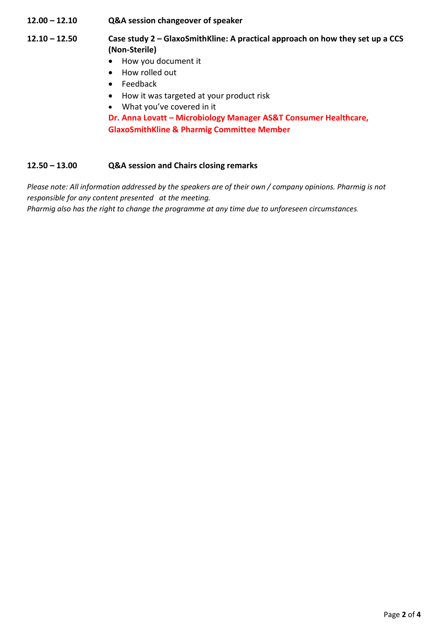**12.00 – 12.10 Q&A session changeover of speaker**

- **12.10 – 12.50 Case study 2 – GlaxoSmithKline: A practical approach on how they set up a CCS (Non-Sterile)**
	- How you document it
	- How rolled out
	- Feedback
	- How it was targeted at your product risk
	- What you've covered in it

**Dr. Anna Lovatt – Microbiology Manager AS&T Consumer Healthcare, GlaxoSmithKline & Pharmig Committee Member**

### **12.50 – 13.00 Q&A session and Chairs closing remarks**

*Please note: All information addressed by the speakers are of their own / company opinions. Pharmig is not responsible for any content presented at the meeting. Pharmig also has the right to change the programme at any time due to unforeseen circumstances.*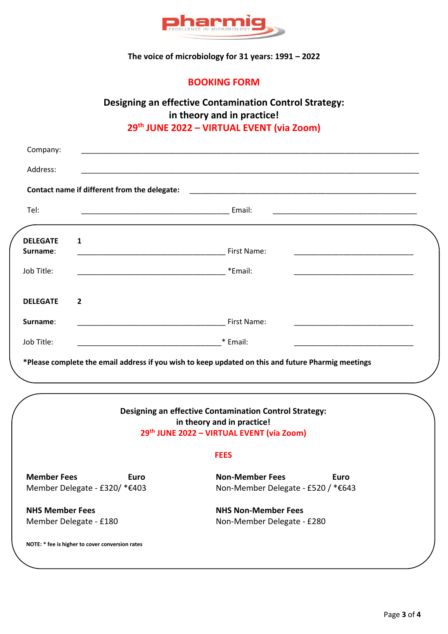

## **The voice of microbiology for 31 years: 1991 – 2022**

## **BOOKING FORM**

# **Designing an effective Contamination Control Strategy: in theory and in practice!**

## **29th JUNE 2022 – VIRTUAL EVENT (via Zoom)**

| Company:                                                    |                                                             | <u> 1990 - Johann John Stone, markin film yn y brening yn y brening yn y brening yn y brening yn y brening yn y b</u>                    |  |  |
|-------------------------------------------------------------|-------------------------------------------------------------|------------------------------------------------------------------------------------------------------------------------------------------|--|--|
| Address:                                                    |                                                             |                                                                                                                                          |  |  |
|                                                             | Contact name if different from the delegate:                |                                                                                                                                          |  |  |
| Tel:                                                        |                                                             |                                                                                                                                          |  |  |
| <b>DELEGATE</b><br>Surname:                                 | $\mathbf{1}$                                                | First Name:                                                                                                                              |  |  |
| Job Title:                                                  |                                                             | *Email:                                                                                                                                  |  |  |
| <b>DELEGATE</b>                                             | $\overline{2}$                                              |                                                                                                                                          |  |  |
| Surname:                                                    |                                                             | First Name:                                                                                                                              |  |  |
| Job Title:                                                  | * Email:<br><u> 1990 - Johann John Stone, mars et al. (</u> |                                                                                                                                          |  |  |
|                                                             |                                                             | *Please complete the email address if you wish to keep updated on this and future Pharmig meetings                                       |  |  |
|                                                             |                                                             | <b>Designing an effective Contamination Control Strategy:</b><br>in theory and in practice!<br>29th JUNE 2022 - VIRTUAL EVENT (via Zoom) |  |  |
|                                                             |                                                             | <b>FEES</b>                                                                                                                              |  |  |
| <b>Member Fees</b><br>Euro<br>Member Delegate - £320/ *€403 |                                                             | <b>Non-Member Fees</b><br>Euro<br>Non-Member Delegate - £520 / *€643                                                                     |  |  |
| <b>NHS Member Fees</b><br>Member Delegate - £180            |                                                             | <b>NHS Non-Member Fees</b><br>Non-Member Delegate - £280                                                                                 |  |  |

**NOTE: \* fee is higher to cover conversion rates**

.